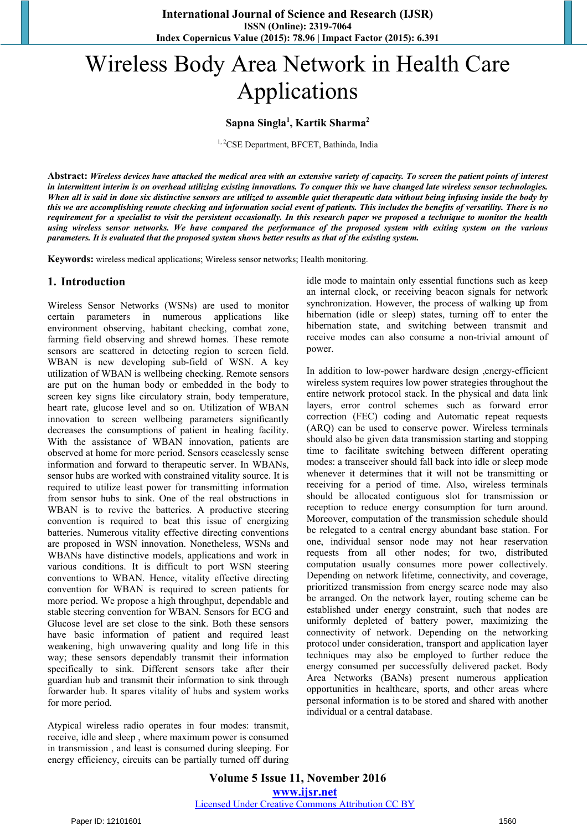# Wireless Body Area Network in Health Care Applications

# **Sapna Singla<sup>1</sup> , Kartik Sharma<sup>2</sup>**

<sup>1, 2</sup>CSE Department, BFCET, Bathinda, India

**Abstract:** *Wireless devices have attacked the medical area with an extensive variety of capacity. To screen the patient points of interest in intermittent interim is on overhead utilizing existing innovations. To conquer this we have changed late wireless sensor technologies. When all is said in done six distinctive sensors are utilized to assemble quiet therapeutic data without being infusing inside the body by this we are accomplishing remote checking and information social event of patients. This includes the benefits of versatility. There is no requirement for a specialist to visit the persistent occasionally. In this research paper we proposed a technique to monitor the health using wireless sensor networks. We have compared the performance of the proposed system with exiting system on the various parameters. It is evaluated that the proposed system shows better results as that of the existing system.* 

**Keywords:** wireless medical applications; Wireless sensor networks; Health monitoring.

#### **1. Introduction**

Wireless Sensor Networks (WSNs) are used to monitor certain parameters in numerous applications like environment observing, habitant checking, combat zone, farming field observing and shrewd homes. These remote sensors are scattered in detecting region to screen field. WBAN is new developing sub-field of WSN. A key utilization of WBAN is wellbeing checking. Remote sensors are put on the human body or embedded in the body to screen key signs like circulatory strain, body temperature, heart rate, glucose level and so on. Utilization of WBAN innovation to screen wellbeing parameters significantly decreases the consumptions of patient in healing facility. With the assistance of WBAN innovation, patients are observed at home for more period. Sensors ceaselessly sense information and forward to therapeutic server. In WBANs, sensor hubs are worked with constrained vitality source. It is required to utilize least power for transmitting information from sensor hubs to sink. One of the real obstructions in WBAN is to revive the batteries. A productive steering convention is required to beat this issue of energizing batteries. Numerous vitality effective directing conventions are proposed in WSN innovation. Nonetheless, WSNs and WBANs have distinctive models, applications and work in various conditions. It is difficult to port WSN steering conventions to WBAN. Hence, vitality effective directing convention for WBAN is required to screen patients for more period. We propose a high throughput, dependable and stable steering convention for WBAN. Sensors for ECG and Glucose level are set close to the sink. Both these sensors have basic information of patient and required least weakening, high unwavering quality and long life in this way; these sensors dependably transmit their information specifically to sink. Different sensors take after their guardian hub and transmit their information to sink through forwarder hub. It spares vitality of hubs and system works for more period.

Atypical wireless radio operates in four modes: transmit, receive, idle and sleep , where maximum power is consumed in transmission , and least is consumed during sleeping. For energy efficiency, circuits can be partially turned off during idle mode to maintain only essential functions such as keep an internal clock, or receiving beacon signals for network synchronization. However, the process of walking up from hibernation (idle or sleep) states, turning off to enter the hibernation state, and switching between transmit and receive modes can also consume a non-trivial amount of power.

In addition to low-power hardware design ,energy-efficient wireless system requires low power strategies throughout the entire network protocol stack. In the physical and data link layers, error control schemes such as forward error correction (FEC) coding and Automatic repeat requests (ARQ) can be used to conserve power. Wireless terminals should also be given data transmission starting and stopping time to facilitate switching between different operating modes: a transceiver should fall back into idle or sleep mode whenever it determines that it will not be transmitting or receiving for a period of time. Also, wireless terminals should be allocated contiguous slot for transmission or reception to reduce energy consumption for turn around. Moreover, computation of the transmission schedule should be relegated to a central energy abundant base station. For one, individual sensor node may not hear reservation requests from all other nodes; for two, distributed computation usually consumes more power collectively. Depending on network lifetime, connectivity, and coverage, prioritized transmission from energy scarce node may also be arranged. On the network layer, routing scheme can be established under energy constraint, such that nodes are uniformly depleted of battery power, maximizing the connectivity of network. Depending on the networking protocol under consideration, transport and application layer techniques may also be employed to further reduce the energy consumed per successfully delivered packet. Body Area Networks (BANs) present numerous application opportunities in healthcare, sports, and other areas where personal information is to be stored and shared with another individual or a central database.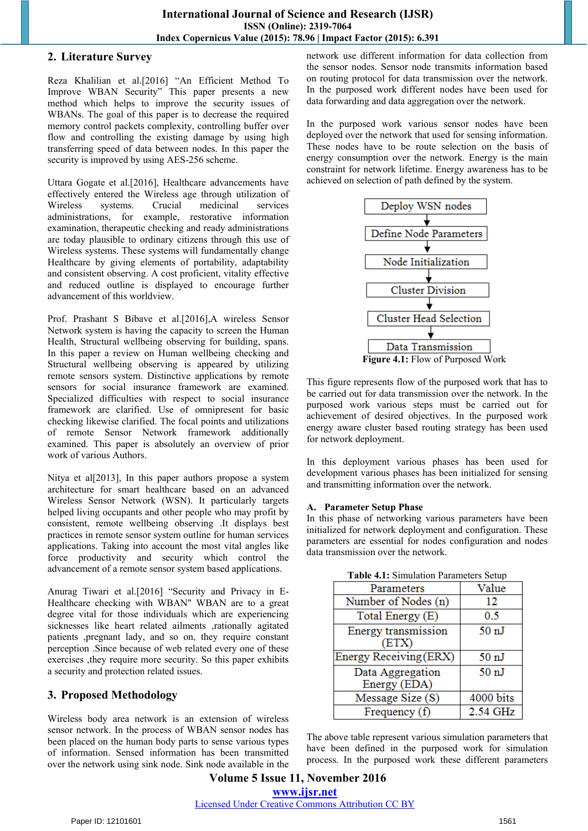#### **2. Literature Survey**

Reza Khalilian et al.[2016] "An Efficient Method To Improve WBAN Security" This paper presents a new method which helps to improve the security issues of WBANs. The goal of this paper is to decrease the required memory control packets complexity, controlling buffer over flow and controlling the existing damage by using high transferring speed of data between nodes. In this paper the security is improved by using AES-256 scheme.

Uttara Gogate et al.[2016], Healthcare advancements have effectively entered the Wireless age through utilization of Wireless systems. Crucial medicinal services administrations, for example, restorative information examination, therapeutic checking and ready administrations are today plausible to ordinary citizens through this use of Wireless systems. These systems will fundamentally change Healthcare by giving elements of portability, adaptability and consistent observing. A cost proficient, vitality effective and reduced outline is displayed to encourage further advancement of this worldview.

Prof. Prashant S Bibave et al.[2016],A wireless Sensor Network system is having the capacity to screen the Human Health, Structural wellbeing observing for building, spans. In this paper a review on Human wellbeing checking and Structural wellbeing observing is appeared by utilizing remote sensors system. Distinctive applications by remote sensors for social insurance framework are examined. Specialized difficulties with respect to social insurance framework are clarified. Use of omnipresent for basic checking likewise clarified. The focal points and utilizations of remote Sensor Network framework additionally examined. This paper is absolutely an overview of prior work of various Authors.

Nitya et al[2013], In this paper authors propose a system architecture for smart healthcare based on an advanced Wireless Sensor Network (WSN). It particularly targets helped living occupants and other people who may profit by consistent, remote wellbeing observing .It displays best practices in remote sensor system outline for human services applications. Taking into account the most vital angles like force productivity and security which control the advancement of a remote sensor system based applications.

Anurag Tiwari et al.[2016] "Security and Privacy in E-Healthcare checking with WBAN" WBAN are to a great degree vital for those individuals which are experiencing sicknesses like heart related ailments ,rationally agitated patients ,pregnant lady, and so on, they require constant perception .Since because of web related every one of these exercises ,they require more security. So this paper exhibits a security and protection related issues.

# **3. Proposed Methodology**

Wireless body area network is an extension of wireless sensor network. In the process of WBAN sensor nodes has been placed on the human body parts to sense various types of information. Sensed information has been transmitted over the network using sink node. Sink node available in the network use different information for data collection from the sensor nodes. Sensor node transmits information based on routing protocol for data transmission over the network. In the purposed work different nodes have been used for data forwarding and data aggregation over the network.

In the purposed work various sensor nodes have been deployed over the network that used for sensing information. These nodes have to be route selection on the basis of energy consumption over the network. Energy is the main constraint for network lifetime. Energy awareness has to be achieved on selection of path defined by the system.



**Figure 4.1:** Flow of Purposed Work

This figure represents flow of the purposed work that has to be carried out for data transmission over the network. In the purposed work various steps must be carried out for achievement of desired objectives. In the purposed work energy aware cluster based routing strategy has been used for network deployment.

In this deployment various phases has been used for development various phases has been initialized for sensing and transmitting information over the network.

#### **A. Parameter Setup Phase**

In this phase of networking various parameters have been initialized for network deployment and configuration. These parameters are essential for nodes configuration and nodes data transmission over the network.

| Parameters             | Value            |
|------------------------|------------------|
| Number of Nodes (n)    | 12               |
| Total Energy (E)       | 0.5              |
| Energy transmission    | 50 <sub>nl</sub> |
| (ETX)                  |                  |
| Energy Receiving (ERX) | 50 <sub>nl</sub> |
| Data Aggregation       | 50 <sub>nl</sub> |
| Energy (EDA)           |                  |
| Message Size (S)       | 4000 bits        |
| Frequency $(f)$        | 2.54 GHz         |

**Table 4.1:** Simulation Parameters Setup

The above table represent various simulation parameters that have been defined in the purposed work for simulation process. In the purposed work these different parameters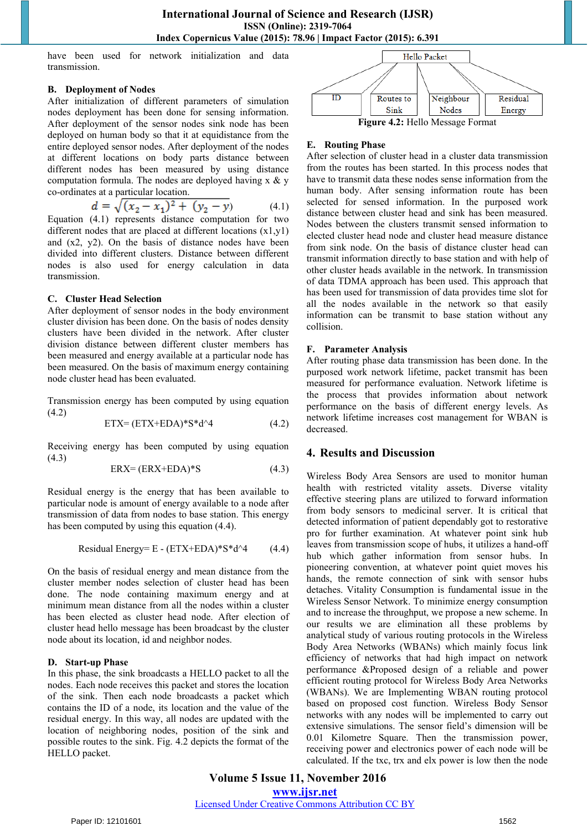have been used for network initialization and data transmission.

#### **B. Deployment of Nodes**

After initialization of different parameters of simulation nodes deployment has been done for sensing information. After deployment of the sensor nodes sink node has been deployed on human body so that it at equidistance from the entire deployed sensor nodes. After deployment of the nodes at different locations on body parts distance between different nodes has been measured by using distance computation formula. The nodes are deployed having x & y co-ordinates at a particular location.

$$
d = \sqrt{(x_2 - x_1)^2 + (y_2 - y)}\tag{4.1}
$$

Equation (4.1) represents distance computation for two different nodes that are placed at different locations (x1,y1) and (x2, y2). On the basis of distance nodes have been divided into different clusters. Distance between different nodes is also used for energy calculation in data transmission.

#### **C. Cluster Head Selection**

After deployment of sensor nodes in the body environment cluster division has been done. On the basis of nodes density clusters have been divided in the network. After cluster division distance between different cluster members has been measured and energy available at a particular node has been measured. On the basis of maximum energy containing node cluster head has been evaluated.

Transmission energy has been computed by using equation (4.2)

$$
ETX = (ETX + EDA) * S * d^4 \tag{4.2}
$$

Receiving energy has been computed by using equation (4.3)

$$
ERX = (ERX + EDA)^*S \tag{4.3}
$$

Residual energy is the energy that has been available to particular node is amount of energy available to a node after transmission of data from nodes to base station. This energy has been computed by using this equation (4.4).

Residual Energy= E - (ETX+EDA)\*S\*d^4 (4.4)

On the basis of residual energy and mean distance from the cluster member nodes selection of cluster head has been done. The node containing maximum energy and at minimum mean distance from all the nodes within a cluster has been elected as cluster head node. After election of cluster head hello message has been broadcast by the cluster node about its location, id and neighbor nodes.

#### **D. Start-up Phase**

In this phase, the sink broadcasts a HELLO packet to all the nodes. Each node receives this packet and stores the location of the sink. Then each node broadcasts a packet which contains the ID of a node, its location and the value of the residual energy. In this way, all nodes are updated with the location of neighboring nodes, position of the sink and possible routes to the sink. Fig. 4.2 depicts the format of the HELLO packet.



#### **E. Routing Phase**

After selection of cluster head in a cluster data transmission from the routes has been started. In this process nodes that have to transmit data these nodes sense information from the human body. After sensing information route has been selected for sensed information. In the purposed work distance between cluster head and sink has been measured. Nodes between the clusters transmit sensed information to elected cluster head node and cluster head measure distance from sink node. On the basis of distance cluster head can transmit information directly to base station and with help of other cluster heads available in the network. In transmission of data TDMA approach has been used. This approach that has been used for transmission of data provides time slot for all the nodes available in the network so that easily information can be transmit to base station without any collision.

#### **F. Parameter Analysis**

After routing phase data transmission has been done. In the purposed work network lifetime, packet transmit has been measured for performance evaluation. Network lifetime is the process that provides information about network performance on the basis of different energy levels. As network lifetime increases cost management for WBAN is decreased.

# **4. Results and Discussion**

Wireless Body Area Sensors are used to monitor human health with restricted vitality assets. Diverse vitality effective steering plans are utilized to forward information from body sensors to medicinal server. It is critical that detected information of patient dependably got to restorative pro for further examination. At whatever point sink hub leaves from transmission scope of hubs, it utilizes a hand-off hub which gather information from sensor hubs. In pioneering convention, at whatever point quiet moves his hands, the remote connection of sink with sensor hubs detaches. Vitality Consumption is fundamental issue in the Wireless Sensor Network. To minimize energy consumption and to increase the throughput, we propose a new scheme. In our results we are elimination all these problems by analytical study of various routing protocols in the Wireless Body Area Networks (WBANs) which mainly focus link efficiency of networks that had high impact on network performance &Proposed design of a reliable and power efficient routing protocol for Wireless Body Area Networks (WBANs). We are Implementing WBAN routing protocol based on proposed cost function. Wireless Body Sensor networks with any nodes will be implemented to carry out extensive simulations. The sensor field's dimension will be 0.01 Kilometre Square. Then the transmission power, receiving power and electronics power of each node will be calculated. If the txc, trx and elx power is low then the node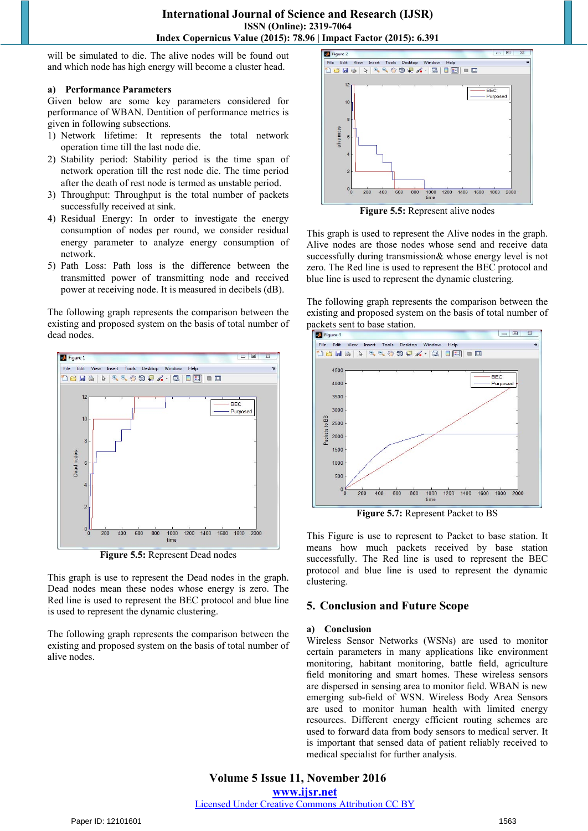will be simulated to die. The alive nodes will be found out and which node has high energy will become a cluster head.

#### **a) Performance Parameters**

Given below are some key parameters considered for performance of WBAN. Dentition of performance metrics is given in following subsections.

- 1) Network lifetime: It represents the total network operation time till the last node die.
- 2) Stability period: Stability period is the time span of network operation till the rest node die. The time period after the death of rest node is termed as unstable period.
- 3) Throughput: Throughput is the total number of packets successfully received at sink.
- 4) Residual Energy: In order to investigate the energy consumption of nodes per round, we consider residual energy parameter to analyze energy consumption of network.
- 5) Path Loss: Path loss is the difference between the transmitted power of transmitting node and received power at receiving node. It is measured in decibels (dB).

The following graph represents the comparison between the existing and proposed system on the basis of total number of dead nodes.



**Figure 5.5:** Represent Dead nodes

This graph is use to represent the Dead nodes in the graph. Dead nodes mean these nodes whose energy is zero. The Red line is used to represent the BEC protocol and blue line is used to represent the dynamic clustering.

The following graph represents the comparison between the existing and proposed system on the basis of total number of alive nodes.



**Figure 5.5:** Represent alive nodes

This graph is used to represent the Alive nodes in the graph. Alive nodes are those nodes whose send and receive data successfully during transmission& whose energy level is not zero. The Red line is used to represent the BEC protocol and blue line is used to represent the dynamic clustering.

The following graph represents the comparison between the existing and proposed system on the basis of total number of packets sent to base station.



**Figure 5.7:** Represent Packet to BS

This Figure is use to represent to Packet to base station. It means how much packets received by base station successfully. The Red line is used to represent the BEC protocol and blue line is used to represent the dynamic clustering.

# **5. Conclusion and Future Scope**

#### **a) Conclusion**

Wireless Sensor Networks (WSNs) are used to monitor certain parameters in many applications like environment monitoring, habitant monitoring, battle field, agriculture field monitoring and smart homes. These wireless sensors are dispersed in sensing area to monitor field. WBAN is new emerging sub-field of WSN. Wireless Body Area Sensors are used to monitor human health with limited energy resources. Different energy efficient routing schemes are used to forward data from body sensors to medical server. It is important that sensed data of patient reliably received to medical specialist for further analysis.